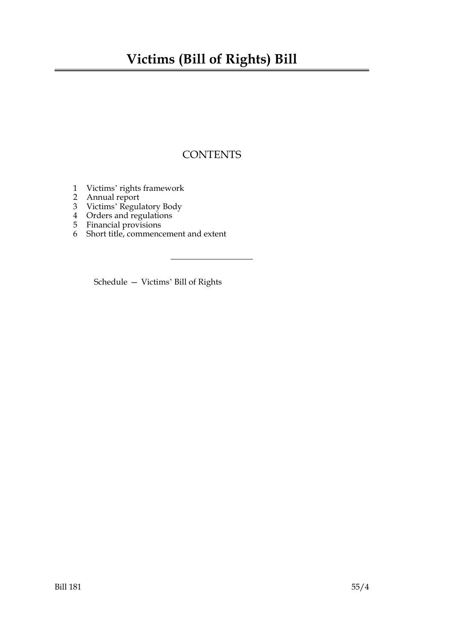## **Victims (Bill of Rights) Bill**

## **CONTENTS**

- 1 Victims' rights framework
- 2 Annual report
- 3 Victims' Regulatory Body
- 4 Orders and regulations
- 5 Financial provisions
- 6 Short title, commencement and extent

Schedule — Victims' Bill of Rights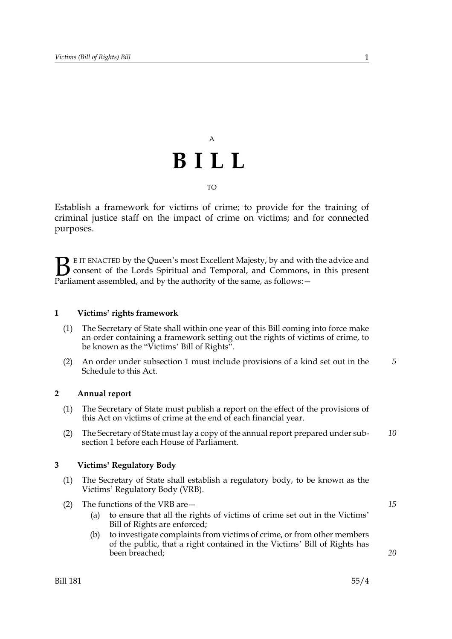# A **BILL**

#### TO

Establish a framework for victims of crime; to provide for the training of criminal justice staff on the impact of crime on victims; and for connected purposes.

E IT ENACTED by the Queen's most Excellent Majesty, by and with the advice and consent of the Lords Spiritual and Temporal, and Commons, in this present Parliament assembled, and by the authority of the same, as follows: - $\mathbf{B}_{\text{rel}}$ 

#### **1 Victims' rights framework**

- (1) The Secretary of State shall within one year of this Bill coming into force make an order containing a framework setting out the rights of victims of crime, to be known as the "Victims' Bill of Rights".
- (2) An order under subsection 1 must include provisions of a kind set out in the Schedule to this Act. *5*

#### **2 Annual report**

- (1) The Secretary of State must publish a report on the effect of the provisions of this Act on victims of crime at the end of each financial year.
- (2) The Secretary of State must lay a copy of the annual report prepared under subsection 1 before each House of Parliament. *10*

#### **3 Victims' Regulatory Body**

- (1) The Secretary of State shall establish a regulatory body, to be known as the Victims' Regulatory Body (VRB).
- (2) The functions of the VRB are—
	- (a) to ensure that all the rights of victims of crime set out in the Victims' Bill of Rights are enforced;
	- (b) to investigate complaints from victims of crime, or from other members of the public, that a right contained in the Victims' Bill of Rights has been breached;

*20*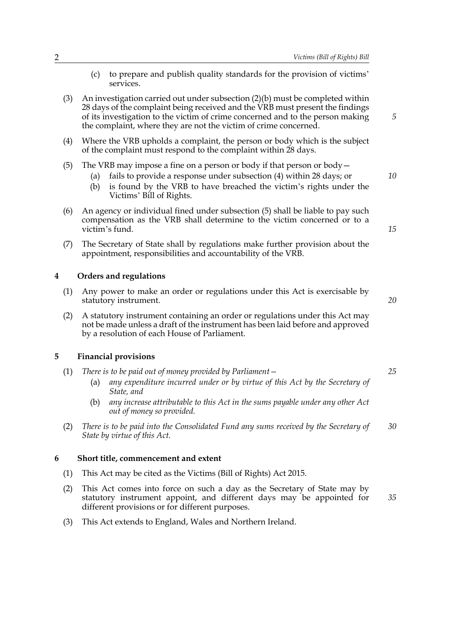- (c) to prepare and publish quality standards for the provision of victims' services.
- (3) An investigation carried out under subsection (2)(b) must be completed within 28 days of the complaint being received and the VRB must present the findings of its investigation to the victim of crime concerned and to the person making the complaint, where they are not the victim of crime concerned.
- (4) Where the VRB upholds a complaint, the person or body which is the subject of the complaint must respond to the complaint within 28 days.
- (5) The VRB may impose a fine on a person or body if that person or body  $-$ 
	- (a) fails to provide a response under subsection (4) within 28 days; or
	- (b) is found by the VRB to have breached the victim's rights under the Victims' Bill of Rights.
- (6) An agency or individual fined under subsection (5) shall be liable to pay such compensation as the VRB shall determine to the victim concerned or to a victim's fund.
- (7) The Secretary of State shall by regulations make further provision about the appointment, responsibilities and accountability of the VRB.

#### **4 Orders and regulations**

- (1) Any power to make an order or regulations under this Act is exercisable by statutory instrument.
- *20*

*25*

*5*

*10*

*15*

(2) A statutory instrument containing an order or regulations under this Act may not be made unless a draft of the instrument has been laid before and approved by a resolution of each House of Parliament.

#### **5 Financial provisions**

- (1) *There is to be paid out of money provided by Parliament—*
	- (a) *any expenditure incurred under or by virtue of this Act by the Secretary of State, and*
	- (b) *any increase attributable to this Act in the sums payable under any other Act out of money so provided.*
- (2) *There is to be paid into the Consolidated Fund any sums received by the Secretary of State by virtue of this Act. 30*

#### **6 Short title, commencement and extent**

- (1) This Act may be cited as the Victims (Bill of Rights) Act 2015.
- (2) This Act comes into force on such a day as the Secretary of State may by statutory instrument appoint, and different days may be appointed for different provisions or for different purposes. *35*
- (3) This Act extends to England, Wales and Northern Ireland.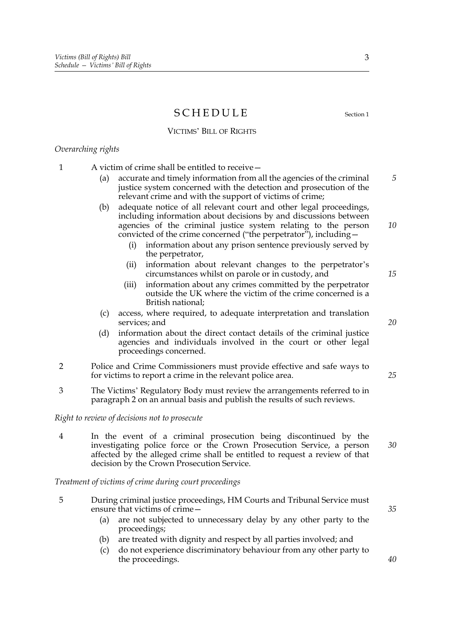### SCHEDULE Section 1

#### VICTIMS' BILL OF RIGHTS

#### *Overarching rights*

- 1 A victim of crime shall be entitled to receive—
	- (a) accurate and timely information from all the agencies of the criminal justice system concerned with the detection and prosecution of the relevant crime and with the support of victims of crime;
	- (b) adequate notice of all relevant court and other legal proceedings, including information about decisions by and discussions between agencies of the criminal justice system relating to the person convicted of the crime concerned ("the perpetrator"), including—
		- (i) information about any prison sentence previously served by the perpetrator,
		- (ii) information about relevant changes to the perpetrator's circumstances whilst on parole or in custody, and
		- (iii) information about any crimes committed by the perpetrator outside the UK where the victim of the crime concerned is a British national;
	- (c) access, where required, to adequate interpretation and translation services; and
	- (d) information about the direct contact details of the criminal justice agencies and individuals involved in the court or other legal proceedings concerned.
- 2 Police and Crime Commissioners must provide effective and safe ways to for victims to report a crime in the relevant police area.
- 3 The Victims' Regulatory Body must review the arrangements referred to in paragraph 2 on an annual basis and publish the results of such reviews.

*Right to review of decisions not to prosecute*

4 In the event of a criminal prosecution being discontinued by the investigating police force or the Crown Prosecution Service, a person affected by the alleged crime shall be entitled to request a review of that decision by the Crown Prosecution Service.

*Treatment of victims of crime during court proceedings*

- 5 During criminal justice proceedings, HM Courts and Tribunal Service must ensure that victims of crime—
	- (a) are not subjected to unnecessary delay by any other party to the proceedings;
	- (b) are treated with dignity and respect by all parties involved; and
	- (c) do not experience discriminatory behaviour from any other party to the proceedings.

*35*

*40*

*5*

*10*

*15*

*20*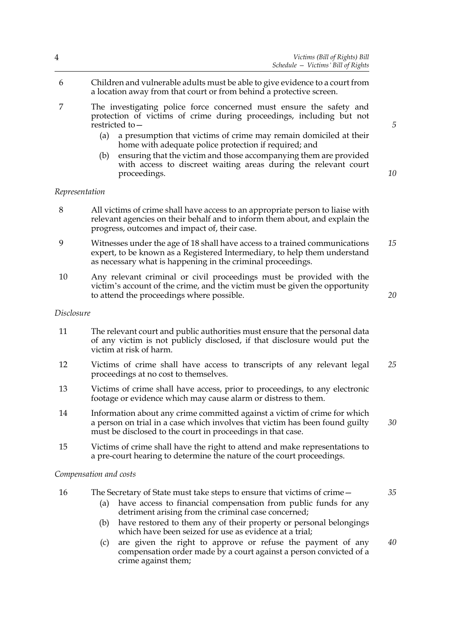- 6 Children and vulnerable adults must be able to give evidence to a court from a location away from that court or from behind a protective screen.
- 7 The investigating police force concerned must ensure the safety and protection of victims of crime during proceedings, including but not restricted to—
	- (a) a presumption that victims of crime may remain domiciled at their home with adequate police protection if required; and
	- (b) ensuring that the victim and those accompanying them are provided with access to discreet waiting areas during the relevant court proceedings.

#### *Representation*

- 8 All victims of crime shall have access to an appropriate person to liaise with relevant agencies on their behalf and to inform them about, and explain the progress, outcomes and impact of, their case.
- 9 Witnesses under the age of 18 shall have access to a trained communications expert, to be known as a Registered Intermediary, to help them understand as necessary what is happening in the criminal proceedings. *15*
- 10 Any relevant criminal or civil proceedings must be provided with the victim's account of the crime, and the victim must be given the opportunity to attend the proceedings where possible.

#### *Disclosure*

- 11 The relevant court and public authorities must ensure that the personal data of any victim is not publicly disclosed, if that disclosure would put the victim at risk of harm.
- 12 Victims of crime shall have access to transcripts of any relevant legal proceedings at no cost to themselves. *25*
- 13 Victims of crime shall have access, prior to proceedings, to any electronic footage or evidence which may cause alarm or distress to them.
- 14 Information about any crime committed against a victim of crime for which a person on trial in a case which involves that victim has been found guilty must be disclosed to the court in proceedings in that case.
- 15 Victims of crime shall have the right to attend and make representations to a pre-court hearing to determine the nature of the court proceedings.

#### *Compensation and costs*

- 16 The Secretary of State must take steps to ensure that victims of crime—
	- (a) have access to financial compensation from public funds for any detriment arising from the criminal case concerned;
	- (b) have restored to them any of their property or personal belongings which have been seized for use as evidence at a trial:
	- (c) are given the right to approve or refuse the payment of any compensation order made by a court against a person convicted of a crime against them; *40*

*5*

*10*

*20*

*30*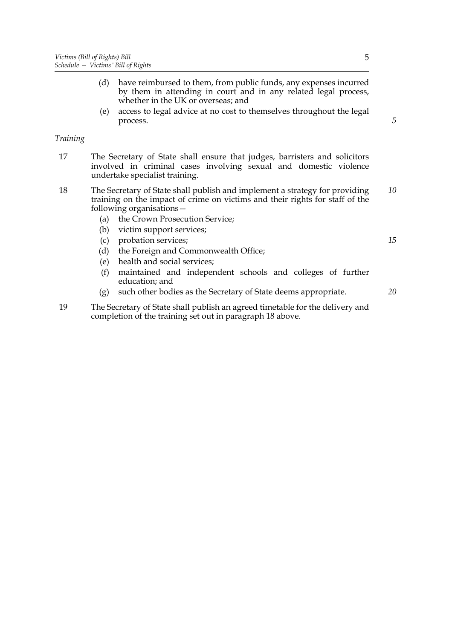- (d) have reimbursed to them, from public funds, any expenses incurred by them in attending in court and in any related legal process, whether in the UK or overseas; and
- (e) access to legal advice at no cost to themselves throughout the legal process.

#### *Training*

- 17 The Secretary of State shall ensure that judges, barristers and solicitors involved in criminal cases involving sexual and domestic violence undertake specialist training.
- 18 The Secretary of State shall publish and implement a strategy for providing training on the impact of crime on victims and their rights for staff of the following organisations— *10*
	- (a) the Crown Prosecution Service;
	- (b) victim support services;
	- (c) probation services;
	- (d) the Foreign and Commonwealth Office;
	- (e) health and social services;
	- (f) maintained and independent schools and colleges of further education; and
	- (g) such other bodies as the Secretary of State deems appropriate.

19 The Secretary of State shall publish an agreed timetable for the delivery and completion of the training set out in paragraph 18 above.

*20*

*15*